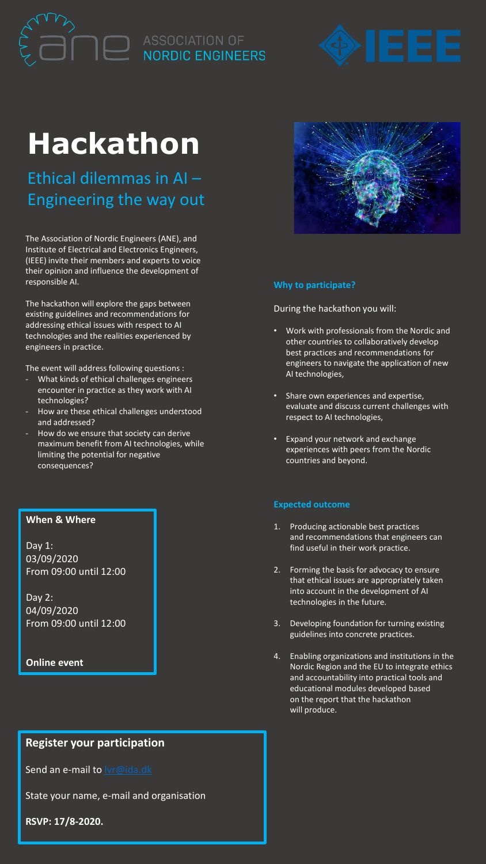# **Hackathon**

Ethical dilemmas in AI – Engineering the way out

The Association of Nordic Engineers (ANE), and Institute of Electrical and Electronics Engineers, (IEEE) invite their members and experts to voice their opinion and influence the development of responsible AI.

The hackathon will explore the gaps between existing guidelines and recommendations for addressing ethical issues with respect to AI technologies and the realities experienced by engineers in practice.

The event will address following questions :

- What kinds of ethical challenges engineers encounter in practice as they work with AI technologies?
- How are these ethical challenges understood and addressed?
- How do we ensure that society can derive maximum benefit from AI technologies, while limiting the potential for negative consequences?

### **When & Where**

Day 1: 03/09/2020 From 09:00 until 12:00

Day 2: 04/09/2020 From 09:00 until 12:00

### **Online event**

# **Register your participation**

Send an e-mail to **Ivr@ida.dk** 

State your name, e-mail and organisation

**RSVP: 17/8-2020.**

## **Why to participate?**

During the hackathon you will:

- Work with professionals from the Nordic and other countries to collaboratively develop best practices and recommendations for engineers to navigate the application of new AI technologies,
- Share own experiences and expertise, evaluate and discuss current challenges with respect to AI technologies,
- Expand your network and exchange experiences with peers from the Nordic countries and beyond.

### **Expected outcome**

- 1. Producing actionable best practices and recommendations that engineers can find useful in their work practice.
- 2. Forming the basis for advocacy to ensure that ethical issues are appropriately taken into account in the development of AI technologies in the future.
- 3. Developing foundation for turning existing guidelines into concrete practices.
- 4. Enabling organizations and institutions in the Nordic Region and the EU to integrate ethics and accountability into practical tools and educational modules developed based on the report that the hackathon will produce.